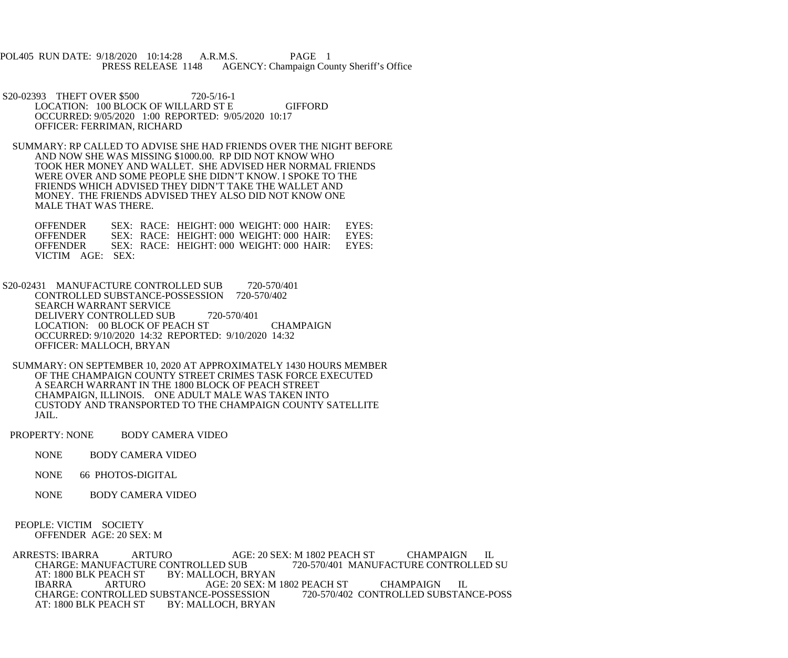POL405 RUN DATE: 9/18/2020 10:14:28 A.R.M.S. PAGE 1<br>PRESS RELEASE 1148 AGENCY: Champaign Cou AGENCY: Champaign County Sheriff's Office

S20-02393 THEFT OVER \$500 720-5/16-1 LOCATION: 100 BLOCK OF WILLARD ST E GIFFORD OCCURRED: 9/05/2020 1:00 REPORTED: 9/05/2020 10:17 OFFICER: FERRIMAN, RICHARD

 SUMMARY: RP CALLED TO ADVISE SHE HAD FRIENDS OVER THE NIGHT BEFORE AND NOW SHE WAS MISSING \$1000.00. RP DID NOT KNOW WHO TOOK HER MONEY AND WALLET. SHE ADVISED HER NORMAL FRIENDS WERE OVER AND SOME PEOPLE SHE DIDN'T KNOW. I SPOKE TO THE FRIENDS WHICH ADVISED THEY DIDN'T TAKE THE WALLET AND MONEY. THE FRIENDS ADVISED THEY ALSO DID NOT KNOW ONE MALE THAT WAS THERE.

OFFENDER SEX: RACE: HEIGHT: 000 WEIGHT: 000 HAIR: EYES:<br>OFFENDER SEX: RACE: HEIGHT: 000 WEIGHT: 000 HAIR: EYES: OFFENDER SEX: RACE: HEIGHT: 000 WEIGHT: 000 HAIR: EYES:<br>OFFENDER SEX: RACE: HEIGHT: 000 WEIGHT: 000 HAIR: EYES: SEX: RACE: HEIGHT: 000 WEIGHT: 000 HAIR: VICTIM AGE: SEX:

S20-02431 MANUFACTURE CONTROLLED SUB 720-570/401<br>CONTROLLED SUBSTANCE-POSSESSION 720-570/402 CONTROLLED SUBSTANCE-POSSESSION SEARCH WARRANT SERVICE DELIVERY CONTROLLED SUB 720-570/401 LOCATION: 00 BLOCK OF PEACH ST CHAMPAIGN OCCURRED: 9/10/2020 14:32 REPORTED: 9/10/2020 14:32 OFFICER: MALLOCH, BRYAN

 SUMMARY: ON SEPTEMBER 10, 2020 AT APPROXIMATELY 1430 HOURS MEMBER OF THE CHAMPAIGN COUNTY STREET CRIMES TASK FORCE EXECUTED A SEARCH WARRANT IN THE 1800 BLOCK OF PEACH STREET CHAMPAIGN, ILLINOIS. ONE ADULT MALE WAS TAKEN INTO CUSTODY AND TRANSPORTED TO THE CHAMPAIGN COUNTY SATELLITE JAIL.

PROPERTY: NONE BODY CAMERA VIDEO

- NONE BODY CAMERA VIDEO
- NONE 66 PHOTOS-DIGITAL
- NONE BODY CAMERA VIDEO

 PEOPLE: VICTIM SOCIETY OFFENDER AGE: 20 SEX: M

 ARRESTS: IBARRA ARTURO AGE: 20 SEX: M 1802 PEACH ST CHAMPAIGN IL CHARGE: MANUFACTURE CONTROLLED SUB 720-570/401 MANUFACTURE CONTROLLED SU<br>AT: 1800 BLK PEACH ST BY: MALLOCH. BRYAN AT: 1800 BLK PEACH ST BY: MALLOCH, BRYAN<br>IBARRA ARTURO AGE: 20 SEX: M AGE: 20 SEX: M 1802 PEACH ST<br>E-POSSESSION 720-570/402 CONTROLLED SUBSTANCE-POSS CHARGE: CONTROLLED SUBSTANCE-POSSESSION<br>AT: 1800 BLK PEACH ST BY: MALLOCH. BRYAN AT: 1800 BLK PEACH ST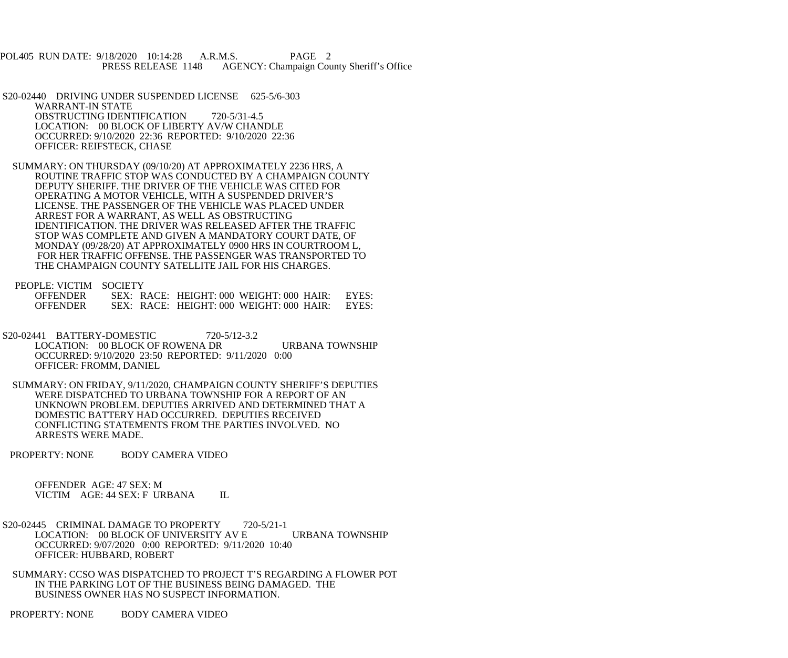POL405 RUN DATE: 9/18/2020 10:14:28 A.R.M.S. PAGE 2 PRESS RELEASE 1148 AGENCY: Champaign County Sheriff's Office

 S20-02440 DRIVING UNDER SUSPENDED LICENSE 625-5/6-303 WARRANT-IN STATE OBSTRUCTING IDENTIFICATION 720-5/31-4.5 LOCATION: 00 BLOCK OF LIBERTY AV/W CHANDLE OCCURRED: 9/10/2020 22:36 REPORTED: 9/10/2020 22:36 OFFICER: REIFSTECK, CHASE

 SUMMARY: ON THURSDAY (09/10/20) AT APPROXIMATELY 2236 HRS, A ROUTINE TRAFFIC STOP WAS CONDUCTED BY A CHAMPAIGN COUNTY DEPUTY SHERIFF. THE DRIVER OF THE VEHICLE WAS CITED FOR OPERATING A MOTOR VEHICLE, WITH A SUSPENDED DRIVER'S LICENSE. THE PASSENGER OF THE VEHICLE WAS PLACED UNDER ARREST FOR A WARRANT, AS WELL AS OBSTRUCTING IDENTIFICATION. THE DRIVER WAS RELEASED AFTER THE TRAFFIC STOP WAS COMPLETE AND GIVEN A MANDATORY COURT DATE, OF MONDAY (09/28/20) AT APPROXIMATELY 0900 HRS IN COURTROOM L, FOR HER TRAFFIC OFFENSE. THE PASSENGER WAS TRANSPORTED TO THE CHAMPAIGN COUNTY SATELLITE JAIL FOR HIS CHARGES.

PEOPLE: VICTIM SOCIETY

| <b>OFFENDER</b> |  | SEX: RACE: HEIGHT: 000 WEIGHT: 000 HAIR: | EYES: |
|-----------------|--|------------------------------------------|-------|
| <b>OFFENDER</b> |  | SEX: RACE: HEIGHT: 000 WEIGHT: 000 HAIR: | EYES: |

- S20-02441 BATTERY-DOMESTIC 720-5/12-3.2 LOCATION: 00 BLOCK OF ROWENA DR URBANA TOWNSHIP OCCURRED: 9/10/2020 23:50 REPORTED: 9/11/2020 0:00 OFFICER: FROMM, DANIEL
- SUMMARY: ON FRIDAY, 9/11/2020, CHAMPAIGN COUNTY SHERIFF'S DEPUTIES WERE DISPATCHED TO URBANA TOWNSHIP FOR A REPORT OF AN UNKNOWN PROBLEM. DEPUTIES ARRIVED AND DETERMINED THAT A DOMESTIC BATTERY HAD OCCURRED. DEPUTIES RECEIVED CONFLICTING STATEMENTS FROM THE PARTIES INVOLVED. NO ARRESTS WERE MADE.
- PROPERTY: NONE BODY CAMERA VIDEO

 OFFENDER AGE: 47 SEX: M VICTIM AGE: 44 SEX: F URBANA IL

S20-02445 CRIMINAL DAMAGE TO PROPERTY 720-5/21-1 LOCATION: 00 BLOCK OF UNIVERSITY AV E URBANA TOWNSHIP OCCURRED: 9/07/2020 0:00 REPORTED: 9/11/2020 10:40 OFFICER: HUBBARD, ROBERT

 SUMMARY: CCSO WAS DISPATCHED TO PROJECT T'S REGARDING A FLOWER POT IN THE PARKING LOT OF THE BUSINESS BEING DAMAGED. THE BUSINESS OWNER HAS NO SUSPECT INFORMATION.

PROPERTY: NONE BODY CAMERA VIDEO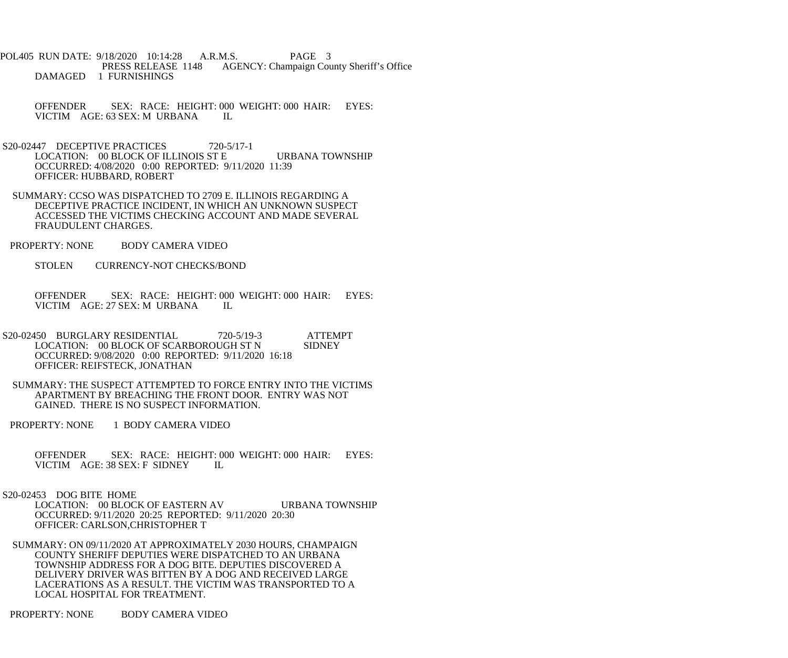- POL405 RUN DATE: 9/18/2020 10:14:28 A.R.M.S. PAGE 3<br>PRESS RELEASE 1148 AGENCY: Champaign Cou AGENCY: Champaign County Sheriff's Office DAMAGED 1 FURNISHINGS
	- OFFENDER SEX: RACE: HEIGHT: 000 WEIGHT: 000 HAIR: EYES: VICTIM AGE: 63 SEX: M URBANA IL
- S20-02447 DECEPTIVE PRACTICES 720-5/17-1 LOCATION: 00 BLOCK OF ILLINOIS ST E URBANA TOWNSHIP OCCURRED: 4/08/2020 0:00 REPORTED: 9/11/2020 11:39 OFFICER: HUBBARD, ROBERT
- SUMMARY: CCSO WAS DISPATCHED TO 2709 E. ILLINOIS REGARDING A DECEPTIVE PRACTICE INCIDENT, IN WHICH AN UNKNOWN SUSPECT ACCESSED THE VICTIMS CHECKING ACCOUNT AND MADE SEVERAL FRAUDULENT CHARGES.
- PROPERTY: NONE BODY CAMERA VIDEO
	- STOLEN CURRENCY-NOT CHECKS/BOND
	- OFFENDER SEX: RACE: HEIGHT: 000 WEIGHT: 000 HAIR: EYES: VICTIM AGE: 27 SEX: M URBANA IL VICTIM AGE: 27 SEX: M URBANA
- S20-02450 BURGLARY RESIDENTIAL 720-5/19-3 ATTEMPT<br>LOCATION: 00 BLOCK OF SCARBOROUGH ST N SIDNEY LOCATION: 00 BLOCK OF SCARBOROUGH ST N OCCURRED: 9/08/2020 0:00 REPORTED: 9/11/2020 16:18 OFFICER: REIFSTECK, JONATHAN
- SUMMARY: THE SUSPECT ATTEMPTED TO FORCE ENTRY INTO THE VICTIMS APARTMENT BY BREACHING THE FRONT DOOR. ENTRY WAS NOT GAINED. THERE IS NO SUSPECT INFORMATION.
- PROPERTY: NONE 1 BODY CAMERA VIDEO
	- OFFENDER SEX: RACE: HEIGHT: 000 WEIGHT: 000 HAIR: EYES:<br>VICTIM AGE: 38 SEX: F SIDNEY IL VICTIM AGE: 38 SEX: F SIDNEY
- S20-02453 DOG BITE HOME

LOCATION: 00 BLOCK OF EASTERN AV URBANA TOWNSHIP OCCURRED: 9/11/2020 20:25 REPORTED: 9/11/2020 20:30 OFFICER: CARLSON,CHRISTOPHER T

- SUMMARY: ON 09/11/2020 AT APPROXIMATELY 2030 HOURS, CHAMPAIGN COUNTY SHERIFF DEPUTIES WERE DISPATCHED TO AN URBANA TOWNSHIP ADDRESS FOR A DOG BITE. DEPUTIES DISCOVERED A DELIVERY DRIVER WAS BITTEN BY A DOG AND RECEIVED LARGE LACERATIONS AS A RESULT. THE VICTIM WAS TRANSPORTED TO A LOCAL HOSPITAL FOR TREATMENT.
- PROPERTY: NONE BODY CAMERA VIDEO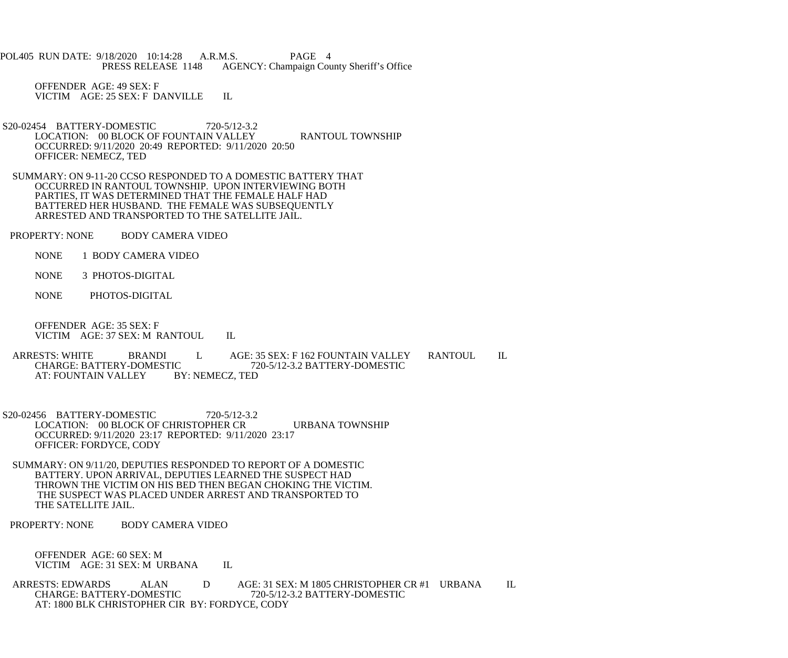POL405 RUN DATE: 9/18/2020 10:14:28 A.R.M.S. PAGE 4<br>PRESS RELEASE 1148 AGENCY: Champaign Cou AGENCY: Champaign County Sheriff's Office

 OFFENDER AGE: 49 SEX: F VICTIM AGE: 25 SEX: F DANVILLE IL

- S20-02454 BATTERY-DOMESTIC 720-5/12-3.2 LOCATION: 00 BLOCK OF FOUNTAIN VALLEY RANTOUL TOWNSHIP OCCURRED: 9/11/2020 20:49 REPORTED: 9/11/2020 20:50 OFFICER: NEMECZ, TED
- SUMMARY: ON 9-11-20 CCSO RESPONDED TO A DOMESTIC BATTERY THAT OCCURRED IN RANTOUL TOWNSHIP. UPON INTERVIEWING BOTH PARTIES, IT WAS DETERMINED THAT THE FEMALE HALF HAD BATTERED HER HUSBAND. THE FEMALE WAS SUBSEQUENTLY ARRESTED AND TRANSPORTED TO THE SATELLITE JAIL.
- PROPERTY: NONE BODY CAMERA VIDEO
	- NONE 1 BODY CAMERA VIDEO
	- NONE 3 PHOTOS-DIGITAL
	- NONE PHOTOS-DIGITAL

 OFFENDER AGE: 35 SEX: F VICTIM AGE: 37 SEX: M RANTOUL IL

ARRESTS: WHITE BRANDI L AGE: 35 SEX: F 162 FOUNTAIN VALLEY RANTOUL IL CHARGE: BATTERY-DOMESTIC 720-5/12-3.2 BATTERY-DOMESTIC IC<br>BY: NEMECZ, TED<br>BY: NEMECZ, TED AT: FOUNTAIN VALLEY

- S20-02456 BATTERY-DOMESTIC 720-5/12-3.2 LOCATION: 00 BLOCK OF CHRISTOPHER CR URBANA TOWNSHIP OCCURRED: 9/11/2020 23:17 REPORTED: 9/11/2020 23:17 OFFICER: FORDYCE, CODY
- SUMMARY: ON 9/11/20, DEPUTIES RESPONDED TO REPORT OF A DOMESTIC BATTERY. UPON ARRIVAL, DEPUTIES LEARNED THE SUSPECT HAD THROWN THE VICTIM ON HIS BED THEN BEGAN CHOKING THE VICTIM. THE SUSPECT WAS PLACED UNDER ARREST AND TRANSPORTED TO THE SATELLITE JAIL.

PROPERTY: NONE BODY CAMERA VIDEO

 OFFENDER AGE: 60 SEX: M VICTIM AGE: 31 SEX: M URBANA IL

ARRESTS: EDWARDS ALAN D AGE: 31 SEX: M 1805 CHRISTOPHER CR #1 URBANA IL<br>CHARGE: BATTERY-DOMESTIC 720-5/12-3.2 BATTERY-DOMESTIC CHARGE: BATTERY-DOMESTIC 720-5/12-3.2 BATTERY-DOMESTIC AT: 1800 BLK CHRISTOPHER CIR BY: FORDYCE, CODY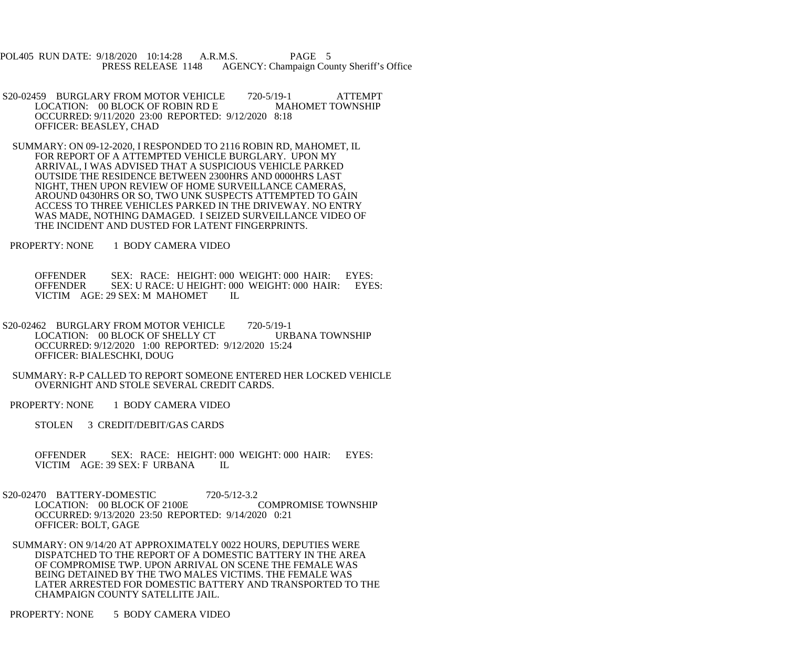POL405 RUN DATE: 9/18/2020 10:14:28 A.R.M.S. PAGE 5<br>PRESS RELEASE 1148 AGENCY: Champaign Cou AGENCY: Champaign County Sheriff's Office

- S20-02459 BURGLARY FROM MOTOR VEHICLE 720-5/19-1 ATTEMPT<br>LOCATION: 00 BLOCK OF ROBIN RD E MAHOMET TOWNSHIP LOCATION: 00 BLOCK OF ROBIN RD E OCCURRED: 9/11/2020 23:00 REPORTED: 9/12/2020 8:18 OFFICER: BEASLEY, CHAD
- SUMMARY: ON 09-12-2020, I RESPONDED TO 2116 ROBIN RD, MAHOMET, IL FOR REPORT OF A ATTEMPTED VEHICLE BURGLARY. UPON MY ARRIVAL, I WAS ADVISED THAT A SUSPICIOUS VEHICLE PARKED OUTSIDE THE RESIDENCE BETWEEN 2300HRS AND 0000HRS LAST NIGHT, THEN UPON REVIEW OF HOME SURVEILLANCE CAMERAS, AROUND 0430HRS OR SO, TWO UNK SUSPECTS ATTEMPTED TO GAIN ACCESS TO THREE VEHICLES PARKED IN THE DRIVEWAY. NO ENTRY WAS MADE, NOTHING DAMAGED. I SEIZED SURVEILLANCE VIDEO OF THE INCIDENT AND DUSTED FOR LATENT FINGERPRINTS.
- PROPERTY: NONE 1 BODY CAMERA VIDEO

 OFFENDER SEX: RACE: HEIGHT: 000 WEIGHT: 000 HAIR: EYES: OFFENDER SEX: U RACE: U HEIGHT: 000 WEIGHT: 000 HAIR: EYES: VICTIM AGE: 29 SEX: M MAHOMET IL

- S20-02462 BURGLARY FROM MOTOR VEHICLE 720-5/19-1 LOCATION: 00 BLOCK OF SHELLY CT URBANA TOWNSHIP OCCURRED: 9/12/2020 1:00 REPORTED: 9/12/2020 15:24 OFFICER: BIALESCHKI, DOUG
- SUMMARY: R-P CALLED TO REPORT SOMEONE ENTERED HER LOCKED VEHICLE OVERNIGHT AND STOLE SEVERAL CREDIT CARDS.
- PROPERTY: NONE 1 BODY CAMERA VIDEO
	- STOLEN 3 CREDIT/DEBIT/GAS CARDS
	- OFFENDER SEX: RACE: HEIGHT: 000 WEIGHT: 000 HAIR: EYES:<br>VICTIM AGE: 39 SEX: F URBANA IL VICTIM AGE: 39 SEX: F URBANA
- S20-02470 BATTERY-DOMESTIC 720-5/12-3.2<br>LOCATION: 00 BLOCK OF 2100E COMPROMISE TOWNSHIP LOCATION: 00 BLOCK OF 2100E OCCURRED: 9/13/2020 23:50 REPORTED: 9/14/2020 0:21 OFFICER: BOLT, GAGE
	- SUMMARY: ON 9/14/20 AT APPROXIMATELY 0022 HOURS, DEPUTIES WERE DISPATCHED TO THE REPORT OF A DOMESTIC BATTERY IN THE AREA OF COMPROMISE TWP. UPON ARRIVAL ON SCENE THE FEMALE WAS BEING DETAINED BY THE TWO MALES VICTIMS. THE FEMALE WAS LATER ARRESTED FOR DOMESTIC BATTERY AND TRANSPORTED TO THE CHAMPAIGN COUNTY SATELLITE JAIL.
- PROPERTY: NONE 5 BODY CAMERA VIDEO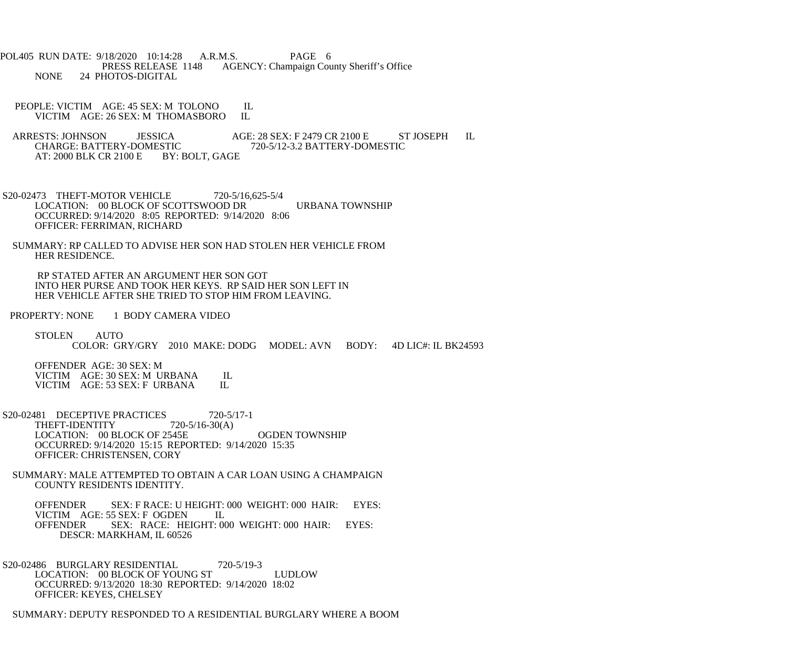POL405 RUN DATE: 9/18/2020 10:14:28 A.R.M.S. PAGE 6<br>PRESS RELEASE 1148 AGENCY: Champaign Cou AGENCY: Champaign County Sheriff's Office NONE 24 PHOTOS-DIGITAL

PEOPLE: VICTIM AGE: 45 SEX: M TOLONO IL<br>VICTIM AGE: 26 SEX: M THOMASBORO IL VICTIM AGE: 26 SEX: M THOMASBORO

ARRESTS: JOHNSON JESSICA AGE: 28 SEX: F 2479 CR 2100 E ST JOSEPH IL<br>CHARGE: BATTERY-DOMESTIC 720-5/12-3.2 BATTERY-DOMESTIC ESTIC 720-5/12-3.2 BATTERY-DOMESTIC<br>BY: BOLT, GAGE AT: 2000 BLK CR 2100 E

S20-02473 THEFT-MOTOR VEHICLE 720-5/16,625-5/4 LOCATION: 00 BLOCK OF SCOTTSWOOD DR URBANA TOWNSHIP OCCURRED: 9/14/2020 8:05 REPORTED: 9/14/2020 8:06 OFFICER: FERRIMAN, RICHARD

 SUMMARY: RP CALLED TO ADVISE HER SON HAD STOLEN HER VEHICLE FROM HER RESIDENCE.

 RP STATED AFTER AN ARGUMENT HER SON GOT INTO HER PURSE AND TOOK HER KEYS. RP SAID HER SON LEFT IN HER VEHICLE AFTER SHE TRIED TO STOP HIM FROM LEAVING.

PROPERTY: NONE 1 BODY CAMERA VIDEO

 STOLEN AUTO COLOR: GRY/GRY 2010 MAKE: DODG MODEL: AVN BODY: 4D LIC#: IL BK24593

 OFFENDER AGE: 30 SEX: M VICTIM AGE: 30 SEX: M URBANA IL<br>VICTIM AGE: 53 SEX: F URBANA IL VICTIM AGE: 53 SEX: F URBANA

S20-02481 DECEPTIVE PRACTICES 720-5/17-1<br>THEFT-IDENTITY 720-5/16-30(A) THEFT-IDENTITY LOCATION: 00 BLOCK OF 2545E OGDEN TOWNSHIP OCCURRED: 9/14/2020 15:15 REPORTED: 9/14/2020 15:35 OFFICER: CHRISTENSEN, CORY

 SUMMARY: MALE ATTEMPTED TO OBTAIN A CAR LOAN USING A CHAMPAIGN COUNTY RESIDENTS IDENTITY.

 OFFENDER SEX: F RACE: U HEIGHT: 000 WEIGHT: 000 HAIR: EYES: VICTIM AGE: 55 SEX: F OGDEN IL<br>OFFENDER SEX: RACE: HEIGHT: 00 SEX: RACE: HEIGHT: 000 WEIGHT: 000 HAIR: EYES: DESCR: MARKHAM, IL 60526

S20-02486 BURGLARY RESIDENTIAL 720-5/19-3 LOCATION: 00 BLOCK OF YOUNG ST LUDLOW OCCURRED: 9/13/2020 18:30 REPORTED: 9/14/2020 18:02 OFFICER: KEYES, CHELSEY

SUMMARY: DEPUTY RESPONDED TO A RESIDENTIAL BURGLARY WHERE A BOOM